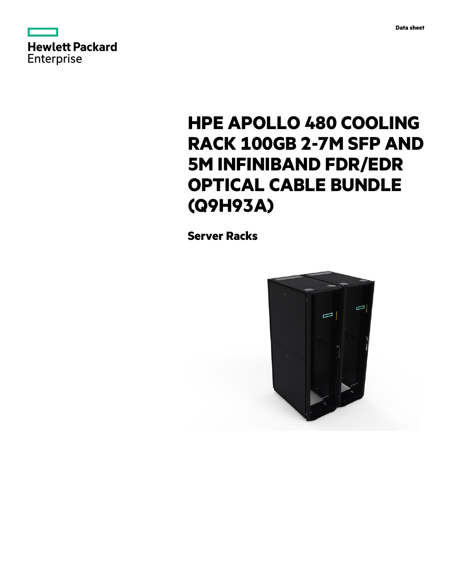



# **HPE APOLLO 480 COOLING RACK 100GB 2-7M SFP AND 5M INFINIBAND FDR/EDR OPTICAL CABLE BUNDLE (Q9H93A)**

**Server Racks**